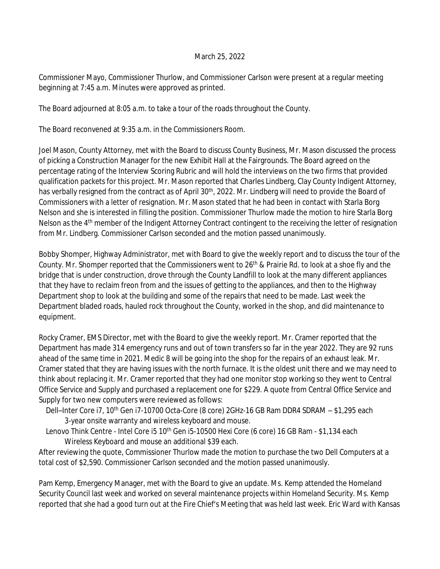## March 25, 2022

Commissioner Mayo, Commissioner Thurlow, and Commissioner Carlson were present at a regular meeting beginning at 7:45 a.m. Minutes were approved as printed.

The Board adjourned at 8:05 a.m. to take a tour of the roads throughout the County.

The Board reconvened at 9:35 a.m. in the Commissioners Room.

Joel Mason, County Attorney, met with the Board to discuss County Business, Mr. Mason discussed the process of picking a Construction Manager for the new Exhibit Hall at the Fairgrounds. The Board agreed on the percentage rating of the Interview Scoring Rubric and will hold the interviews on the two firms that provided qualification packets for this project. Mr. Mason reported that Charles Lindberg, Clay County Indigent Attorney, has verbally resigned from the contract as of April 30<sup>th</sup>, 2022. Mr. Lindberg will need to provide the Board of Commissioners with a letter of resignation. Mr. Mason stated that he had been in contact with Starla Borg Nelson and she is interested in filling the position. Commissioner Thurlow made the motion to hire Starla Borg Nelson as the 4<sup>th</sup> member of the Indigent Attorney Contract contingent to the receiving the letter of resignation from Mr. Lindberg. Commissioner Carlson seconded and the motion passed unanimously.

Bobby Shomper, Highway Administrator, met with Board to give the weekly report and to discuss the tour of the County. Mr. Shomper reported that the Commissioners went to 26<sup>th</sup> & Prairie Rd. to look at a shoe fly and the bridge that is under construction, drove through the County Landfill to look at the many different appliances that they have to reclaim freon from and the issues of getting to the appliances, and then to the Highway Department shop to look at the building and some of the repairs that need to be made. Last week the Department bladed roads, hauled rock throughout the County, worked in the shop, and did maintenance to equipment.

Rocky Cramer, EMS Director, met with the Board to give the weekly report. Mr. Cramer reported that the Department has made 314 emergency runs and out of town transfers so far in the year 2022. They are 92 runs ahead of the same time in 2021. Medic 8 will be going into the shop for the repairs of an exhaust leak. Mr. Cramer stated that they are having issues with the north furnace. It is the oldest unit there and we may need to think about replacing it. Mr. Cramer reported that they had one monitor stop working so they went to Central Office Service and Supply and purchased a replacement one for \$229. A quote from Central Office Service and Supply for two new computers were reviewed as follows:

Dell-Inter Core i7, 10<sup>th</sup> Gen i7-10700 Octa-Core (8 core) 2GHz-16 GB Ram DDR4 SDRAM - \$1,295 each 3-year onsite warranty and wireless keyboard and mouse.

Lenovo Think Centre - Intel Core i5 10<sup>th</sup> Gen i5-10500 Hexi Core (6 core) 16 GB Ram - \$1,134 each Wireless Keyboard and mouse an additional \$39 each.

After reviewing the quote, Commissioner Thurlow made the motion to purchase the two Dell Computers at a total cost of \$2,590. Commissioner Carlson seconded and the motion passed unanimously.

Pam Kemp, Emergency Manager, met with the Board to give an update. Ms. Kemp attended the Homeland Security Council last week and worked on several maintenance projects within Homeland Security. Ms. Kemp reported that she had a good turn out at the Fire Chief's Meeting that was held last week. Eric Ward with Kansas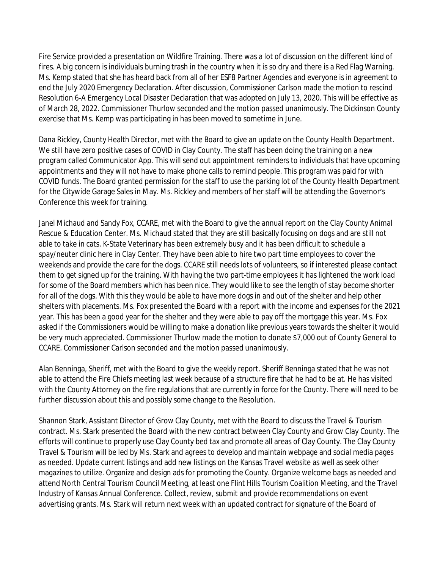Fire Service provided a presentation on Wildfire Training. There was a lot of discussion on the different kind of fires. A big concern is individuals burning trash in the country when it is so dry and there is a Red Flag Warning. Ms. Kemp stated that she has heard back from all of her ESF8 Partner Agencies and everyone is in agreement to end the July 2020 Emergency Declaration. After discussion, Commissioner Carlson made the motion to rescind Resolution 6-A Emergency Local Disaster Declaration that was adopted on July 13, 2020. This will be effective as of March 28, 2022. Commissioner Thurlow seconded and the motion passed unanimously. The Dickinson County exercise that Ms. Kemp was participating in has been moved to sometime in June.

Dana Rickley, County Health Director, met with the Board to give an update on the County Health Department. We still have zero positive cases of COVID in Clay County. The staff has been doing the training on a new program called Communicator App. This will send out appointment reminders to individuals that have upcoming appointments and they will not have to make phone calls to remind people. This program was paid for with COVID funds. The Board granted permission for the staff to use the parking lot of the County Health Department for the Citywide Garage Sales in May. Ms. Rickley and members of her staff will be attending the Governor's Conference this week for training.

Janel Michaud and Sandy Fox, CCARE, met with the Board to give the annual report on the Clay County Animal Rescue & Education Center. Ms. Michaud stated that they are still basically focusing on dogs and are still not able to take in cats. K-State Veterinary has been extremely busy and it has been difficult to schedule a spay/neuter clinic here in Clay Center. They have been able to hire two part time employees to cover the weekends and provide the care for the dogs. CCARE still needs lots of volunteers, so if interested please contact them to get signed up for the training. With having the two part-time employees it has lightened the work load for some of the Board members which has been nice. They would like to see the length of stay become shorter for all of the dogs. With this they would be able to have more dogs in and out of the shelter and help other shelters with placements. Ms. Fox presented the Board with a report with the income and expenses for the 2021 year. This has been a good year for the shelter and they were able to pay off the mortgage this year. Ms. Fox asked if the Commissioners would be willing to make a donation like previous years towards the shelter it would be very much appreciated. Commissioner Thurlow made the motion to donate \$7,000 out of County General to CCARE. Commissioner Carlson seconded and the motion passed unanimously.

Alan Benninga, Sheriff, met with the Board to give the weekly report. Sheriff Benninga stated that he was not able to attend the Fire Chiefs meeting last week because of a structure fire that he had to be at. He has visited with the County Attorney on the fire regulations that are currently in force for the County. There will need to be further discussion about this and possibly some change to the Resolution.

Shannon Stark, Assistant Director of Grow Clay County, met with the Board to discuss the Travel & Tourism contract. Ms. Stark presented the Board with the new contract between Clay County and Grow Clay County. The efforts will continue to properly use Clay County bed tax and promote all areas of Clay County. The Clay County Travel & Tourism will be led by Ms. Stark and agrees to develop and maintain webpage and social media pages as needed. Update current listings and add new listings on the Kansas Travel website as well as seek other magazines to utilize. Organize and design ads for promoting the County. Organize welcome bags as needed and attend North Central Tourism Council Meeting, at least one Flint Hills Tourism Coalition Meeting, and the Travel Industry of Kansas Annual Conference. Collect, review, submit and provide recommendations on event advertising grants. Ms. Stark will return next week with an updated contract for signature of the Board of